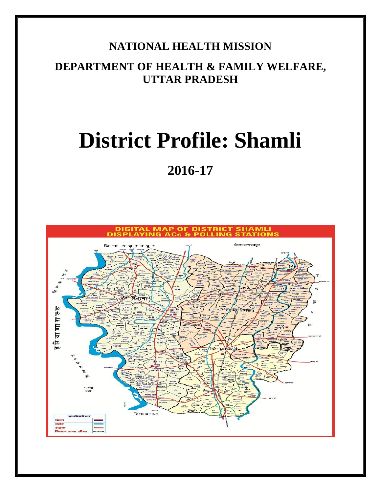#### **NATIONAL HEALTH MISSION**

#### **DEPARTMENT OF HEALTH & FAMILY WELFARE, UTTAR PRADESH**

# **District Profile: Shamli**

## **2016-17**

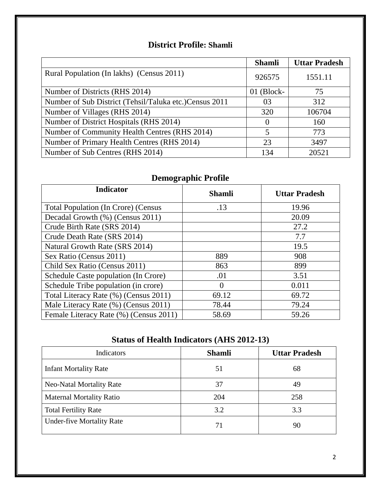#### **District Profile: Shamli**

|                                                         | <b>Shamli</b> | <b>Uttar Pradesh</b> |
|---------------------------------------------------------|---------------|----------------------|
| Rural Population (In lakhs) (Census 2011)               | 926575        | 1551.11              |
| Number of Districts (RHS 2014)                          | $01$ (Block-  | 75                   |
| Number of Sub District (Tehsil/Taluka etc.) Census 2011 | 03            | 312                  |
| Number of Villages (RHS 2014)                           | 320           | 106704               |
| Number of District Hospitals (RHS 2014)                 | $\theta$      | 160                  |
| Number of Community Health Centres (RHS 2014)           | 5             | 773                  |
| Number of Primary Health Centres (RHS 2014)             | 23            | 3497                 |
| Number of Sub Centres (RHS 2014)                        | 134           | 20521                |

#### **Demographic Profile**

| <b>Indicator</b>                           | <b>Shamli</b> | <b>Uttar Pradesh</b> |
|--------------------------------------------|---------------|----------------------|
| <b>Total Population (In Crore) (Census</b> | .13           | 19.96                |
| Decadal Growth (%) (Census 2011)           |               | 20.09                |
| Crude Birth Rate (SRS 2014)                |               | 27.2                 |
| Crude Death Rate (SRS 2014)                |               | 7.7                  |
| Natural Growth Rate (SRS 2014)             |               | 19.5                 |
| Sex Ratio (Census 2011)                    | 889           | 908                  |
| Child Sex Ratio (Census 2011)              | 863           | 899                  |
| Schedule Caste population (In Crore)       | .01           | 3.51                 |
| Schedule Tribe population (in crore)       | $\mathbf{0}$  | 0.011                |
| Total Literacy Rate (%) (Census 2011)      | 69.12         | 69.72                |
| Male Literacy Rate (%) (Census 2011)       | 78.44         | 79.24                |
| Female Literacy Rate (%) (Census 2011)     | 58.69         | 59.26                |

#### **Status of Health Indicators (AHS 2012-13)**

| Indicators                       | <b>Shamli</b> | <b>Uttar Pradesh</b> |
|----------------------------------|---------------|----------------------|
| <b>Infant Mortality Rate</b>     | 51            | 68                   |
| <b>Neo-Natal Mortality Rate</b>  | 37            | 49                   |
| <b>Maternal Mortality Ratio</b>  | 204           | 258                  |
| <b>Total Fertility Rate</b>      | 3.2           | 3.3                  |
| <b>Under-five Mortality Rate</b> |               | 90                   |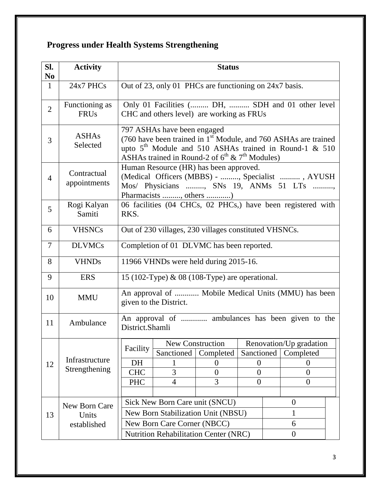### **Progress under Health Systems Strengthening**

| SI.<br>N <sub>0</sub> | <b>Activity</b>               | <b>Status</b>                                                                                                                                                                                                                      |                                           |                               |                        |  |                                                  |  |
|-----------------------|-------------------------------|------------------------------------------------------------------------------------------------------------------------------------------------------------------------------------------------------------------------------------|-------------------------------------------|-------------------------------|------------------------|--|--------------------------------------------------|--|
| $\mathbf{1}$          | 24x7 PHCs                     | Out of 23, only 01 PHCs are functioning on 24x7 basis.                                                                                                                                                                             |                                           |                               |                        |  |                                                  |  |
| $\overline{2}$        | Functioning as<br><b>FRUs</b> |                                                                                                                                                                                                                                    | CHC and others level) are working as FRUs |                               |                        |  | Only 01 Facilities ( DH,  SDH and 01 other level |  |
| 3                     | <b>ASHAs</b><br>Selected      | 797 ASHAs have been engaged<br>(760 have been trained in 1 <sup>st</sup> Module, and 760 ASHAs are trained<br>upto $5th$ Module and 510 ASHAs trained in Round-1 & 510<br>ASHAs trained in Round-2 of $6^{th}$ & $7^{th}$ Modules) |                                           |                               |                        |  |                                                  |  |
| $\overline{4}$        | Contractual<br>appointments   | Human Resource (HR) has been approved.<br>(Medical Officers (MBBS) - , Specialist , AYUSH<br>Mos/ Physicians , SNs 19, ANMs 51 LTs ,<br>Pharmacists , others )                                                                     |                                           |                               |                        |  |                                                  |  |
| 5                     | Rogi Kalyan<br>Samiti         | 06 facilities (04 CHCs, 02 PHCs,) have been registered with<br>RKS.                                                                                                                                                                |                                           |                               |                        |  |                                                  |  |
| 6                     | <b>VHSNCs</b>                 | Out of 230 villages, 230 villages constituted VHSNCs.                                                                                                                                                                              |                                           |                               |                        |  |                                                  |  |
| $\tau$                | <b>DLVMCs</b>                 | Completion of 01 DLVMC has been reported.                                                                                                                                                                                          |                                           |                               |                        |  |                                                  |  |
| 8                     | <b>VHNDs</b>                  | 11966 VHNDs were held during 2015-16.                                                                                                                                                                                              |                                           |                               |                        |  |                                                  |  |
| 9                     | <b>ERS</b>                    | 15 (102-Type) & 08 (108-Type) are operational.                                                                                                                                                                                     |                                           |                               |                        |  |                                                  |  |
| 10                    | <b>MMU</b>                    | An approval of  Mobile Medical Units (MMU) has been<br>given to the District.                                                                                                                                                      |                                           |                               |                        |  |                                                  |  |
| 11                    | Ambulance                     | An approval of  ambulances has been given to the<br>District.Shamli                                                                                                                                                                |                                           |                               |                        |  |                                                  |  |
|                       |                               | Facility                                                                                                                                                                                                                           |                                           | <b>New Construction</b>       |                        |  | Renovation/Up gradation                          |  |
|                       | Infrastructure                | DH                                                                                                                                                                                                                                 | Sanctioned<br>1                           | Completed<br>$\boldsymbol{0}$ | Sanctioned<br>$\theta$ |  | Completed<br>$\theta$                            |  |
| 12                    | Strengthening                 | <b>CHC</b>                                                                                                                                                                                                                         | 3                                         | $\overline{0}$                | $\overline{0}$         |  | $\overline{0}$                                   |  |
|                       |                               | <b>PHC</b>                                                                                                                                                                                                                         | 4                                         | 3                             | $\overline{0}$         |  | $\theta$                                         |  |
|                       |                               |                                                                                                                                                                                                                                    |                                           |                               |                        |  |                                                  |  |
|                       | New Born Care                 | Sick New Born Care unit (SNCU)<br>$\theta$                                                                                                                                                                                         |                                           |                               |                        |  |                                                  |  |
| 13                    | Units                         | New Born Stabilization Unit (NBSU)                                                                                                                                                                                                 |                                           |                               | 1                      |  |                                                  |  |
|                       | established                   | New Born Care Corner (NBCC)                                                                                                                                                                                                        |                                           |                               | 6                      |  |                                                  |  |
|                       |                               | Nutrition Rehabilitation Center (NRC)<br>$\boldsymbol{0}$                                                                                                                                                                          |                                           |                               |                        |  |                                                  |  |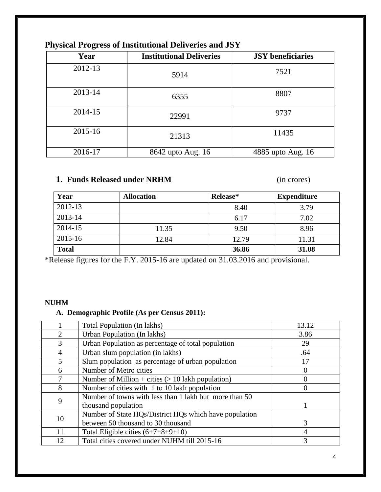| ັ<br>o  |                                 |                          |
|---------|---------------------------------|--------------------------|
| Year    | <b>Institutional Deliveries</b> | <b>JSY</b> beneficiaries |
| 2012-13 | 5914                            | 7521                     |
| 2013-14 | 6355                            | 8807                     |
| 2014-15 | 22991                           | 9737                     |
| 2015-16 | 21313                           | 11435                    |
| 2016-17 | 8642 upto Aug. 16               | 4885 upto Aug. 16        |

#### **Physical Progress of Institutional Deliveries and JSY**

#### **1. Funds Released under NRHM** (in crores)

| Year         | <b>Allocation</b> | Release* | <b>Expenditure</b> |
|--------------|-------------------|----------|--------------------|
| 2012-13      |                   | 8.40     | 3.79               |
| 2013-14      |                   | 6.17     | 7.02               |
| 2014-15      | 11.35             | 9.50     | 8.96               |
| 2015-16      | 12.84             | 12.79    | 11.31              |
| <b>Total</b> |                   | 36.86    | 31.08              |

\*Release figures for the F.Y. 2015-16 are updated on 31.03.2016 and provisional.

#### **NUHM**

#### **A. Demographic Profile (As per Census 2011):**

|                         | Total Population (In lakhs)                            | 13.12    |
|-------------------------|--------------------------------------------------------|----------|
| 2                       | Urban Population (In lakhs)                            | 3.86     |
| 3                       | Urban Population as percentage of total population     | 29       |
| 4                       | Urban slum population (in lakhs)                       | .64      |
| $\overline{\mathbf{z}}$ | Slum population as percentage of urban population      | 17       |
| 6                       | Number of Metro cities                                 | $\left($ |
| 7                       | Number of Million + cities $(> 10$ lakh population)    |          |
| 8                       | Number of cities with 1 to 10 lakh population          | $\Omega$ |
| 9                       | Number of towns with less than 1 lakh but more than 50 |          |
|                         | thousand population                                    |          |
| 10                      | Number of State HQs/District HQs which have population |          |
|                         | between 50 thousand to 30 thousand                     | 3        |
| 11                      | Total Eligible cities $(6+7+8+9+10)$                   | 4        |
| 12                      | Total cities covered under NUHM till 2015-16           | 3        |